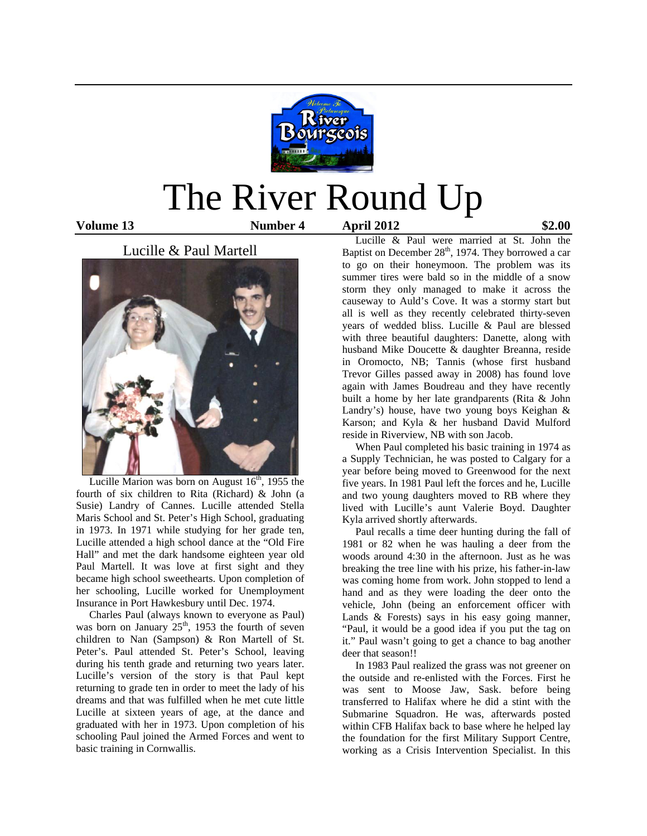

# The River Round Up

**Volume 13 Number 4 April 2012 \$2.00** 

#### Lucille & Paul Martell



Lucille Marion was born on August  $16<sup>th</sup>$ , 1955 the fourth of six children to Rita (Richard) & John (a Susie) Landry of Cannes. Lucille attended Stella Maris School and St. Peter's High School, graduating in 1973. In 1971 while studying for her grade ten, Lucille attended a high school dance at the "Old Fire Hall" and met the dark handsome eighteen year old Paul Martell. It was love at first sight and they became high school sweethearts. Upon completion of her schooling, Lucille worked for Unemployment Insurance in Port Hawkesbury until Dec. 1974.

 Charles Paul (always known to everyone as Paul) was born on January  $25<sup>th</sup>$ , 1953 the fourth of seven children to Nan (Sampson) & Ron Martell of St. Peter's. Paul attended St. Peter's School, leaving during his tenth grade and returning two years later. Lucille's version of the story is that Paul kept returning to grade ten in order to meet the lady of his dreams and that was fulfilled when he met cute little Lucille at sixteen years of age, at the dance and graduated with her in 1973. Upon completion of his schooling Paul joined the Armed Forces and went to basic training in Cornwallis.

 Lucille & Paul were married at St. John the Baptist on December  $28<sup>th</sup>$ , 1974. They borrowed a car to go on their honeymoon. The problem was its summer tires were bald so in the middle of a snow storm they only managed to make it across the causeway to Auld's Cove. It was a stormy start but all is well as they recently celebrated thirty-seven years of wedded bliss. Lucille & Paul are blessed with three beautiful daughters: Danette, along with husband Mike Doucette & daughter Breanna, reside in Oromocto, NB; Tannis (whose first husband Trevor Gilles passed away in 2008) has found love again with James Boudreau and they have recently built a home by her late grandparents (Rita & John Landry's) house, have two young boys Keighan & Karson; and Kyla & her husband David Mulford reside in Riverview, NB with son Jacob.

 When Paul completed his basic training in 1974 as a Supply Technician, he was posted to Calgary for a year before being moved to Greenwood for the next five years. In 1981 Paul left the forces and he, Lucille and two young daughters moved to RB where they lived with Lucille's aunt Valerie Boyd. Daughter Kyla arrived shortly afterwards.

 Paul recalls a time deer hunting during the fall of 1981 or 82 when he was hauling a deer from the woods around 4:30 in the afternoon. Just as he was breaking the tree line with his prize, his father-in-law was coming home from work. John stopped to lend a hand and as they were loading the deer onto the vehicle, John (being an enforcement officer with Lands & Forests) says in his easy going manner, "Paul, it would be a good idea if you put the tag on it." Paul wasn't going to get a chance to bag another deer that season!!

 In 1983 Paul realized the grass was not greener on the outside and re-enlisted with the Forces. First he was sent to Moose Jaw, Sask. before being transferred to Halifax where he did a stint with the Submarine Squadron. He was, afterwards posted within CFB Halifax back to base where he helped lay the foundation for the first Military Support Centre, working as a Crisis Intervention Specialist. In this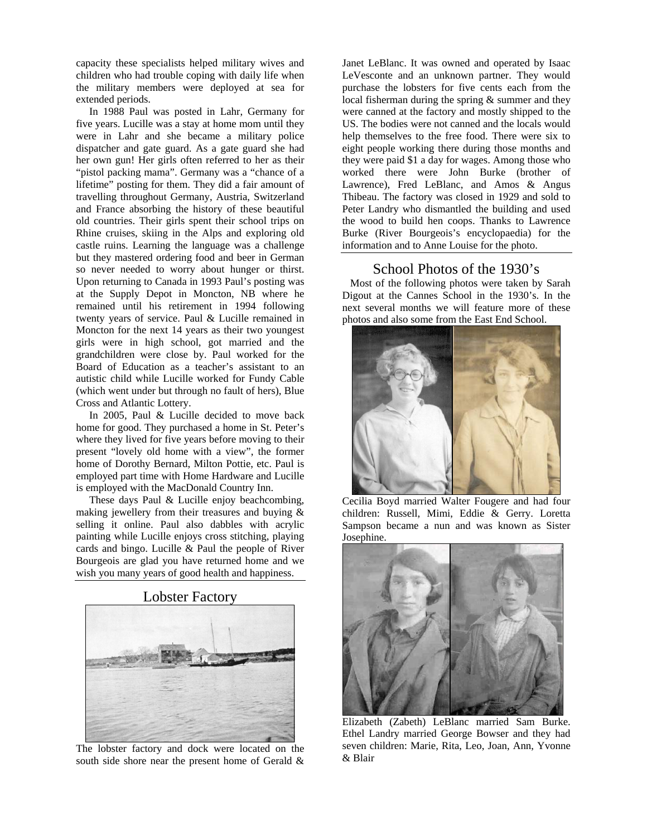capacity these specialists helped military wives and children who had trouble coping with daily life when the military members were deployed at sea for extended periods.

 In 1988 Paul was posted in Lahr, Germany for five years. Lucille was a stay at home mom until they were in Lahr and she became a military police dispatcher and gate guard. As a gate guard she had her own gun! Her girls often referred to her as their "pistol packing mama". Germany was a "chance of a lifetime" posting for them. They did a fair amount of travelling throughout Germany, Austria, Switzerland and France absorbing the history of these beautiful old countries. Their girls spent their school trips on Rhine cruises, skiing in the Alps and exploring old castle ruins. Learning the language was a challenge but they mastered ordering food and beer in German so never needed to worry about hunger or thirst. Upon returning to Canada in 1993 Paul's posting was at the Supply Depot in Moncton, NB where he remained until his retirement in 1994 following twenty years of service. Paul & Lucille remained in Moncton for the next 14 years as their two youngest girls were in high school, got married and the grandchildren were close by. Paul worked for the Board of Education as a teacher's assistant to an autistic child while Lucille worked for Fundy Cable (which went under but through no fault of hers), Blue Cross and Atlantic Lottery.

 In 2005, Paul & Lucille decided to move back home for good. They purchased a home in St. Peter's where they lived for five years before moving to their present "lovely old home with a view", the former home of Dorothy Bernard, Milton Pottie, etc. Paul is employed part time with Home Hardware and Lucille is employed with the MacDonald Country Inn.

 These days Paul & Lucille enjoy beachcombing, making jewellery from their treasures and buying & selling it online. Paul also dabbles with acrylic painting while Lucille enjoys cross stitching, playing cards and bingo. Lucille & Paul the people of River Bourgeois are glad you have returned home and we wish you many years of good health and happiness.



Lobster Factory

The lobster factory and dock were located on the south side shore near the present home of Gerald &

Janet LeBlanc. It was owned and operated by Isaac LeVesconte and an unknown partner. They would purchase the lobsters for five cents each from the local fisherman during the spring & summer and they were canned at the factory and mostly shipped to the US. The bodies were not canned and the locals would help themselves to the free food. There were six to eight people working there during those months and they were paid \$1 a day for wages. Among those who worked there were John Burke (brother of Lawrence), Fred LeBlanc, and Amos & Angus Thibeau. The factory was closed in 1929 and sold to Peter Landry who dismantled the building and used the wood to build hen coops. Thanks to Lawrence Burke (River Bourgeois's encyclopaedia) for the information and to Anne Louise for the photo.

#### School Photos of the 1930's

 Most of the following photos were taken by Sarah Digout at the Cannes School in the 1930's. In the next several months we will feature more of these photos and also some from the East End School.



Cecilia Boyd married Walter Fougere and had four children: Russell, Mimi, Eddie & Gerry. Loretta Sampson became a nun and was known as Sister Josephine.



Elizabeth (Zabeth) LeBlanc married Sam Burke. Ethel Landry married George Bowser and they had seven children: Marie, Rita, Leo, Joan, Ann, Yvonne & Blair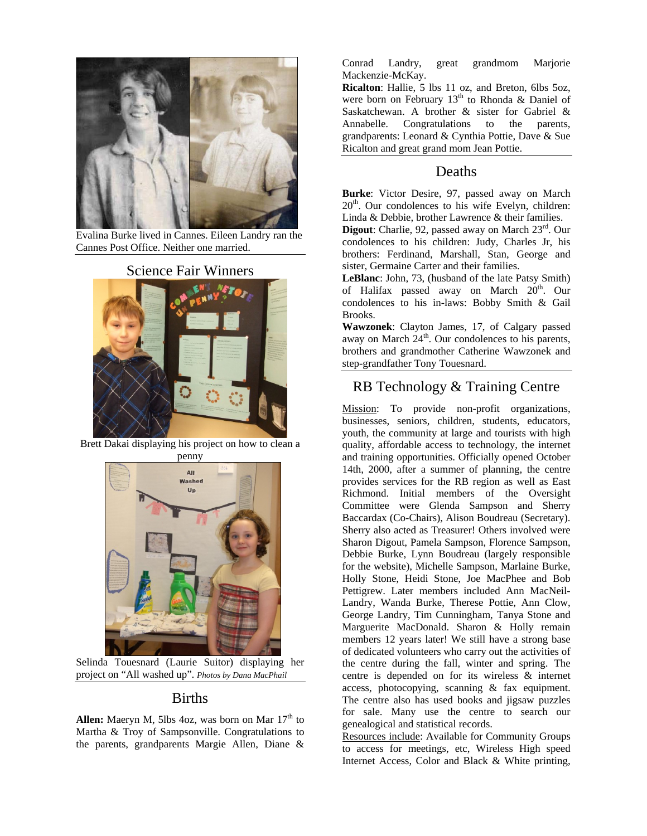

Evalina Burke lived in Cannes. Eileen Landry ran the Cannes Post Office. Neither one married.

## Science Fair Winners



Brett Dakai displaying his project on how to clean a penny



 Selinda Touesnard (Laurie Suitor) displaying her project on "All washed up". *Photos by Dana MacPhail* 

#### Births

**Allen:** Maeryn M, 5lbs 4oz, was born on Mar 17<sup>th</sup> to Martha & Troy of Sampsonville. Congratulations to the parents, grandparents Margie Allen, Diane &

Conrad Landry, great grandmom Marjorie Mackenzie-McKay.

**Ricalton**: Hallie, 5 lbs 11 oz, and Breton, 6lbs 5oz, were born on February  $13<sup>th</sup>$  to Rhonda & Daniel of Saskatchewan. A brother & sister for Gabriel & Annabelle. Congratulations to the parents, grandparents: Leonard & Cynthia Pottie, Dave & Sue Ricalton and great grand mom Jean Pottie.

#### Deaths

**Burke**: Victor Desire, 97, passed away on March  $20<sup>th</sup>$ . Our condolences to his wife Evelyn, children: Linda & Debbie, brother Lawrence & their families.

**Digout**: Charlie, 92, passed away on March 23<sup>rd</sup>. Our condolences to his children: Judy, Charles Jr, his brothers: Ferdinand, Marshall, Stan, George and sister, Germaine Carter and their families.

**LeBlanc**: John, 73, (husband of the late Patsy Smith) of Halifax passed away on March 20<sup>th</sup>. Our condolences to his in-laws: Bobby Smith & Gail Brooks.

**Wawzonek**: Clayton James, 17, of Calgary passed away on March  $24<sup>th</sup>$ . Our condolences to his parents, brothers and grandmother Catherine Wawzonek and step-grandfather Tony Touesnard.

### RB Technology & Training Centre

Mission: To provide non-profit organizations, businesses, seniors, children, students, educators, youth, the community at large and tourists with high quality, affordable access to technology, the internet and training opportunities. Officially opened October 14th, 2000, after a summer of planning, the centre provides services for the RB region as well as East Richmond. Initial members of the Oversight Committee were Glenda Sampson and Sherry Baccardax (Co-Chairs), Alison Boudreau (Secretary). Sherry also acted as Treasurer! Others involved were Sharon Digout, Pamela Sampson, Florence Sampson, Debbie Burke, Lynn Boudreau (largely responsible for the website), Michelle Sampson, Marlaine Burke, Holly Stone, Heidi Stone, Joe MacPhee and Bob Pettigrew. Later members included Ann MacNeil-Landry, Wanda Burke, Therese Pottie, Ann Clow, George Landry, Tim Cunningham, Tanya Stone and Marguerite MacDonald. Sharon & Holly remain members 12 years later! We still have a strong base of dedicated volunteers who carry out the activities of the centre during the fall, winter and spring. The centre is depended on for its wireless & internet access, photocopying, scanning & fax equipment. The centre also has used books and jigsaw puzzles for sale. Many use the centre to search our genealogical and statistical records.

Resources include: Available for Community Groups to access for meetings, etc, Wireless High speed Internet Access, Color and Black & White printing,